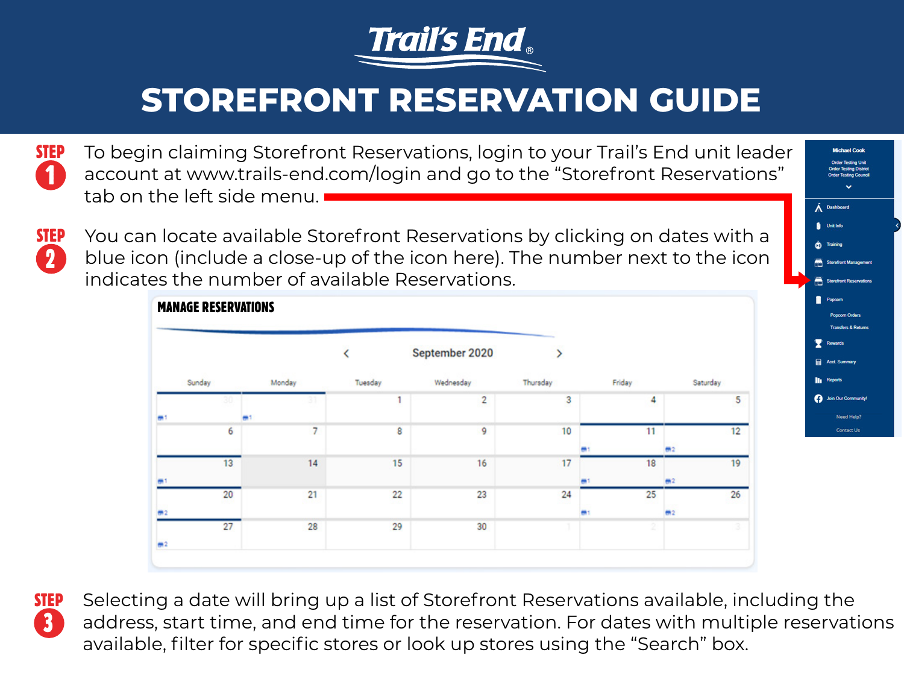



**STEP** You can locate available Storefront Reservations by clicking on dates with a blue icon (include a close-up of the icon here). The number next to the icon indicates the number of available Reservations.

|        |        |         | September 2020 | >        |                |                                   |
|--------|--------|---------|----------------|----------|----------------|-----------------------------------|
| Sunday | Monday | Tuesday | Wednesday      | Thursday | Friday         | Saturday                          |
|        |        |         | $\overline{2}$ | 3        | 4              | 5                                 |
| 6      | 7      | 8       | 9              | 10       | 11             | 12<br>#2                          |
| 13     | 14     | 15      | 16             | 17       | 18             | 19 <sup>°</sup><br>m <sub>2</sub> |
| 20     | 21     | 22      | 23             | 24       | 25             | 26<br>m <sub>2</sub>              |
| 27     | 28     | 29      | 30             |          | $\overline{2}$ |                                   |



3

2

**STEP** Selecting a date will bring up a list of Storefront Reservations available, including the address, start time, and end time for the reservation. For dates with multiple reservations available, filter for specific stores or look up stores using the "Search" box.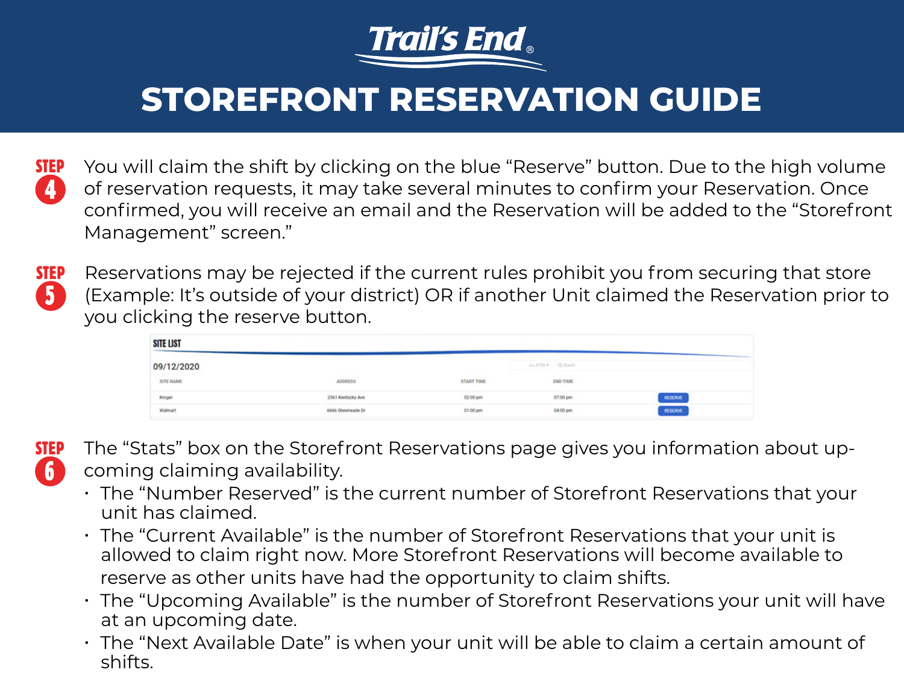

4 **STEP** You will claim the shift by clicking on the blue "Reserve" button. Due to the high volume of reservation requests, it may take several minutes to confirm your Reservation. Once confirmed, you will receive an email and the Reservation will be added to the "Storefront Management" screen."

5

**STEP** Reservations may be rejected if the current rules prohibit you from securing that store (Example: It's outside of your district) OR if another Unit claimed the Reservation prior to you clicking the reserve button.

| <b>SITE LIST</b>     |                                                       |                                                 |                       |         |  |  |
|----------------------|-------------------------------------------------------|-------------------------------------------------|-----------------------|---------|--|--|
| 09/12/2020           |                                                       |                                                 | ALL SITES . Q. Search |         |  |  |
| SITE NAME<br>2000232 | <b>WAS CONSTRUCTION</b><br><b>ADDRESS</b><br>ਾ ਸਕਦਾ ਸ | <b><i>DOD ON BOOKS</i></b><br><b>START TIME</b> | <b>END TIME</b>       |         |  |  |
| Kroger               | 2561 Kentucky Ave                                     | 02:00 pm                                        | 07:00 pm              | RESERVE |  |  |
| Walmart              | 6666 Glenmeade Dr                                     | 01:00 pm                                        | 04:00 pm              | RESERVE |  |  |



**STEP** The "Stats" box on the Storefront Reservations page gives you information about upcoming claiming availability.

- The "Number Reserved" is the current number of Storefront Reservations that your unit has claimed.
- The "Current Available" is the number of Storefront Reservations that your unit is allowed to claim right now. More Storefront Reservations will become available to reserve as other units have had the opportunity to claim shifts.
- The "Upcoming Available" is the number of Storefront Reservations your unit will have at an upcoming date.
- The "Next Available Date" is when your unit will be able to claim a certain amount of shifts.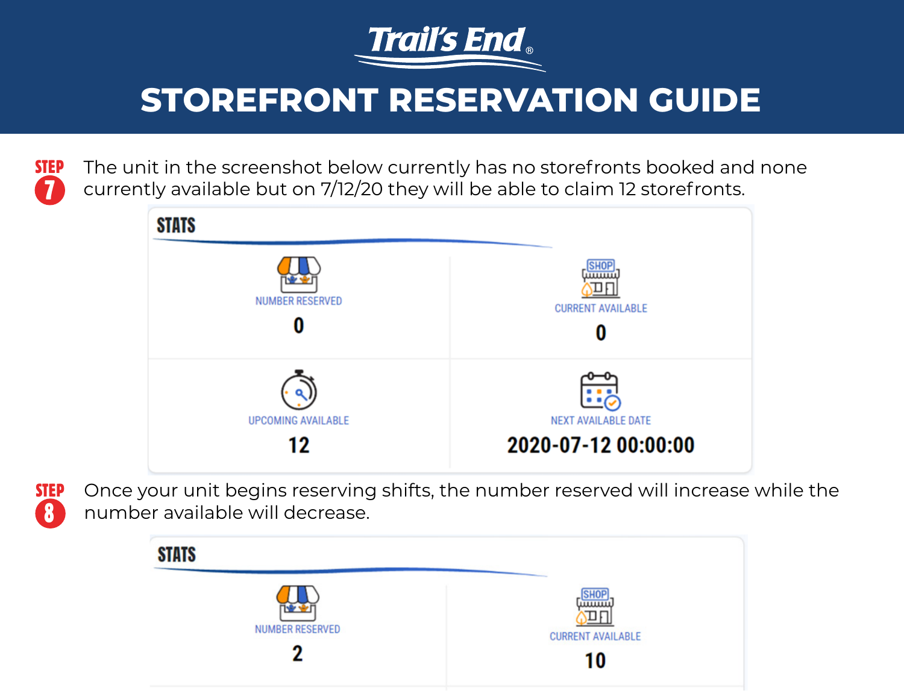

7 **STEP** The unit in the screenshot below currently has no storefronts booked and none currently available but on 7/12/20 they will be able to claim 12 storefronts.



8

**STEP** Once your unit begins reserving shifts, the number reserved will increase while the number available will decrease.